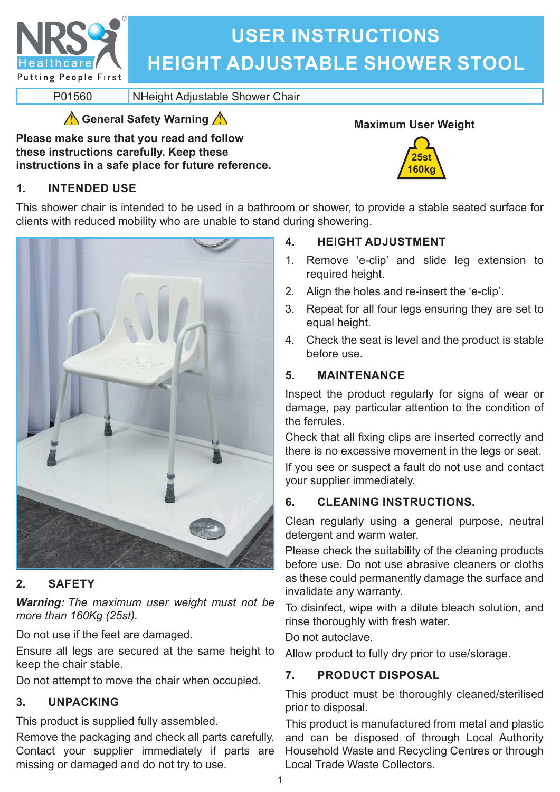

# **USER INSTRUCTIONS HEIGHT ADJUSTABLE SHOWER STOOL**

P01560 NHeight Adjustable Shower Chair

### **General Safety Warning**

**Please make sure that you read and follow these instructions carefully. Keep these instructions in a safe place for future reference.**

## **Maximum User Weight**



#### **1. INTENDED USE**

This shower chair is intended to be used in a bathroom or shower, to provide a stable seated surface for clients with reduced mobility who are unable to stand during showering.



#### **2. SAFETY**

*Warning: The maximum user weight must not be more than 160Kg (25st).*

Do not use if the feet are damaged.

Ensure all legs are secured at the same height to keep the chair stable.

Do not attempt to move the chair when occupied.

#### **3. UNPACKING**

This product is supplied fully assembled.

Remove the packaging and check all parts carefully. Contact your supplier immediately if parts are missing or damaged and do not try to use.

#### **4. HEIGHT ADJUSTMENT**

- 1. Remove 'e-clip' and slide leg extension to required height.
- 2. Align the holes and re-insert the 'e-clip'.
- 3. Repeat for all four legs ensuring they are set to equal height.
- 4. Check the seat is level and the product is stable before use.

#### **5. MAINTENANCE**

Inspect the product regularly for signs of wear or damage, pay particular attention to the condition of the ferrules.

Check that all fixing clips are inserted correctly and there is no excessive movement in the legs or seat.

If you see or suspect a fault do not use and contact your supplier immediately.

#### **6. CLEANING INSTRUCTIONS.**

Clean regularly using a general purpose, neutral detergent and warm water.

Please check the suitability of the cleaning products before use. Do not use abrasive cleaners or cloths as these could permanently damage the surface and invalidate any warranty.

To disinfect, wipe with a dilute bleach solution, and rinse thoroughly with fresh water.

Do not autoclave.

Allow product to fully dry prior to use/storage.

#### **7. PRODUCT DISPOSAL**

This product must be thoroughly cleaned/sterilised prior to disposal.

This product is manufactured from metal and plastic and can be disposed of through Local Authority Household Waste and Recycling Centres or through Local Trade Waste Collectors.